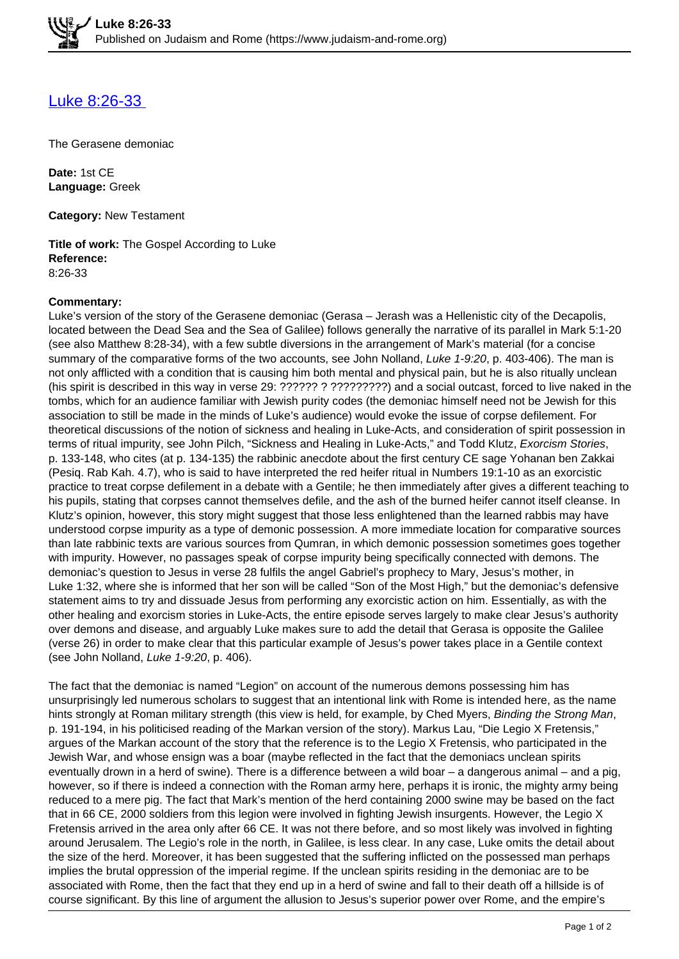## [Luke 8:26-33](https://www.judaism-and-rome.org/luke-826-33)

The Gerasene demoniac

**Date:** 1st CE **Language:** Greek

**Category:** New Testament

**Title of work:** The Gospel According to Luke **Reference:**  8:26-33

## **Commentary:**

Luke's version of the story of the Gerasene demoniac (Gerasa – Jerash was a Hellenistic city of the Decapolis, located between the Dead Sea and the Sea of Galilee) follows generally the narrative of its parallel in Mark 5:1-20 (see also Matthew 8:28-34), with a few subtle diversions in the arrangement of Mark's material (for a concise summary of the comparative forms of the two accounts, see John Nolland, Luke 1-9:20, p. 403-406). The man is not only afflicted with a condition that is causing him both mental and physical pain, but he is also ritually unclean (his spirit is described in this way in verse 29: ?????? ? ?????????) and a social outcast, forced to live naked in the tombs, which for an audience familiar with Jewish purity codes (the demoniac himself need not be Jewish for this association to still be made in the minds of Luke's audience) would evoke the issue of corpse defilement. For theoretical discussions of the notion of sickness and healing in Luke-Acts, and consideration of spirit possession in terms of ritual impurity, see John Pilch, "Sickness and Healing in Luke-Acts," and Todd Klutz, Exorcism Stories, p. 133-148, who cites (at p. 134-135) the rabbinic anecdote about the first century CE sage Yohanan ben Zakkai (Pesiq. Rab Kah. 4.7), who is said to have interpreted the red heifer ritual in Numbers 19:1-10 as an exorcistic practice to treat corpse defilement in a debate with a Gentile; he then immediately after gives a different teaching to his pupils, stating that corpses cannot themselves defile, and the ash of the burned heifer cannot itself cleanse. In Klutz's opinion, however, this story might suggest that those less enlightened than the learned rabbis may have understood corpse impurity as a type of demonic possession. A more immediate location for comparative sources than late rabbinic texts are various sources from Qumran, in which demonic possession sometimes goes together with impurity. However, no passages speak of corpse impurity being specifically connected with demons. The demoniac's question to Jesus in verse 28 fulfils the angel Gabriel's prophecy to Mary, Jesus's mother, in Luke 1:32, where she is informed that her son will be called "Son of the Most High," but the demoniac's defensive statement aims to try and dissuade Jesus from performing any exorcistic action on him. Essentially, as with the other healing and exorcism stories in Luke-Acts, the entire episode serves largely to make clear Jesus's authority over demons and disease, and arguably Luke makes sure to add the detail that Gerasa is opposite the Galilee (verse 26) in order to make clear that this particular example of Jesus's power takes place in a Gentile context (see John Nolland, Luke 1-9:20, p. 406).

The fact that the demoniac is named "Legion" on account of the numerous demons possessing him has unsurprisingly led numerous scholars to suggest that an intentional link with Rome is intended here, as the name hints strongly at Roman military strength (this view is held, for example, by Ched Myers, Binding the Strong Man, p. 191-194, in his politicised reading of the Markan version of the story). Markus Lau, "Die Legio X Fretensis," argues of the Markan account of the story that the reference is to the Legio X Fretensis, who participated in the Jewish War, and whose ensign was a boar (maybe reflected in the fact that the demoniacs unclean spirits eventually drown in a herd of swine). There is a difference between a wild boar – a dangerous animal – and a pig, however, so if there is indeed a connection with the Roman army here, perhaps it is ironic, the mighty army being reduced to a mere pig. The fact that Mark's mention of the herd containing 2000 swine may be based on the fact that in 66 CE, 2000 soldiers from this legion were involved in fighting Jewish insurgents. However, the Legio X Fretensis arrived in the area only after 66 CE. It was not there before, and so most likely was involved in fighting around Jerusalem. The Legio's role in the north, in Galilee, is less clear. In any case, Luke omits the detail about the size of the herd. Moreover, it has been suggested that the suffering inflicted on the possessed man perhaps implies the brutal oppression of the imperial regime. If the unclean spirits residing in the demoniac are to be associated with Rome, then the fact that they end up in a herd of swine and fall to their death off a hillside is of course significant. By this line of argument the allusion to Jesus's superior power over Rome, and the empire's